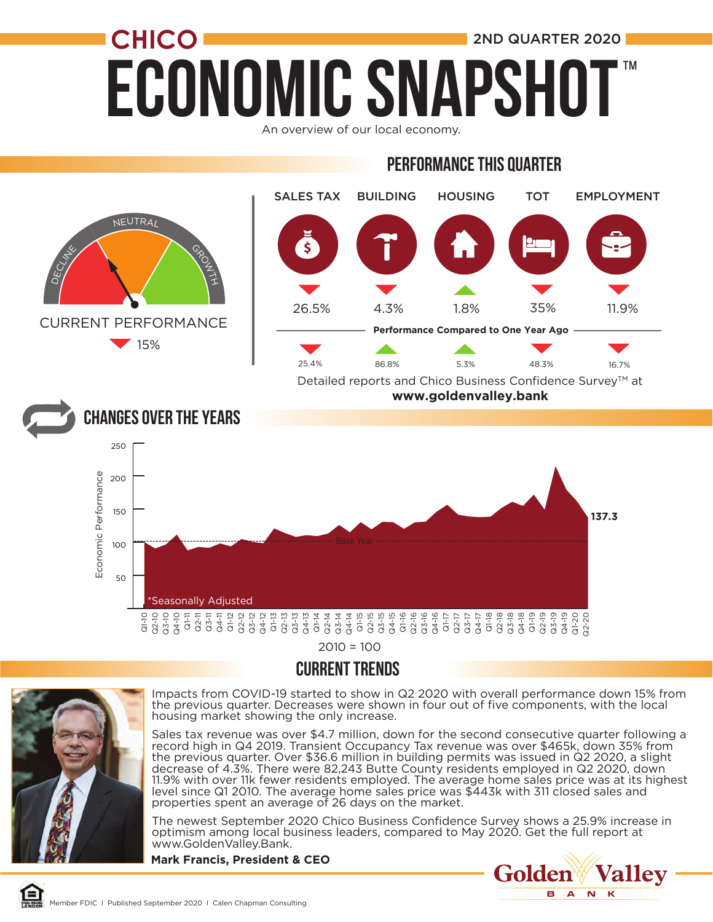## **ECONOMIC SNAPSH CHICO** 2ND QUARTER 2020 ™

An overview of our local economy.

#### Performance this quarter



 $2010 = 100$ 

#### CURRENT TRENDS



Impacts from COVID-19 started to show in Q2 2020 with overall performance down 15% from the previous quarter. Decreases were shown in four out of five components, with the local housing market showing the only increase.

Sales tax revenue was over \$4.7 million, down for the second consecutive quarter following a record high in Q4 2019. Transient Occupancy Tax revenue was over \$465k, down 35% from the previous quarter. Over \$36.6 million in building permits was issued in Q2 2020, a slight decrease of 4.3%. There were 82,243 Butte County residents employed in Q2 2020, down 11.9% with over 11k fewer residents employed. The average home sales price was at its highest level since Q1 2010. The average home sales price was \$443k with 311 closed sales and properties spent an average of 26 days on the market.

The newest September 2020 Chico Business Confidence Survey shows a 25.9% increase in optimism among local business leaders, compared to May 2020. Get the full report at www.GoldenValley.Bank.

**Mark Francis, President & CEO**

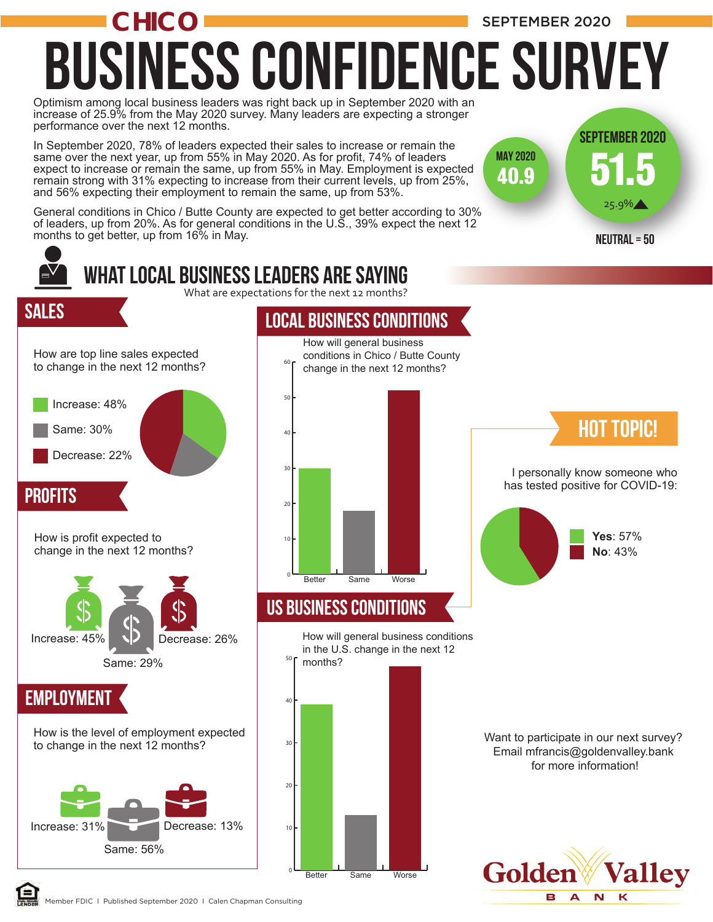

Member FDIC I Published September 2020 I Calen Chapman Consulting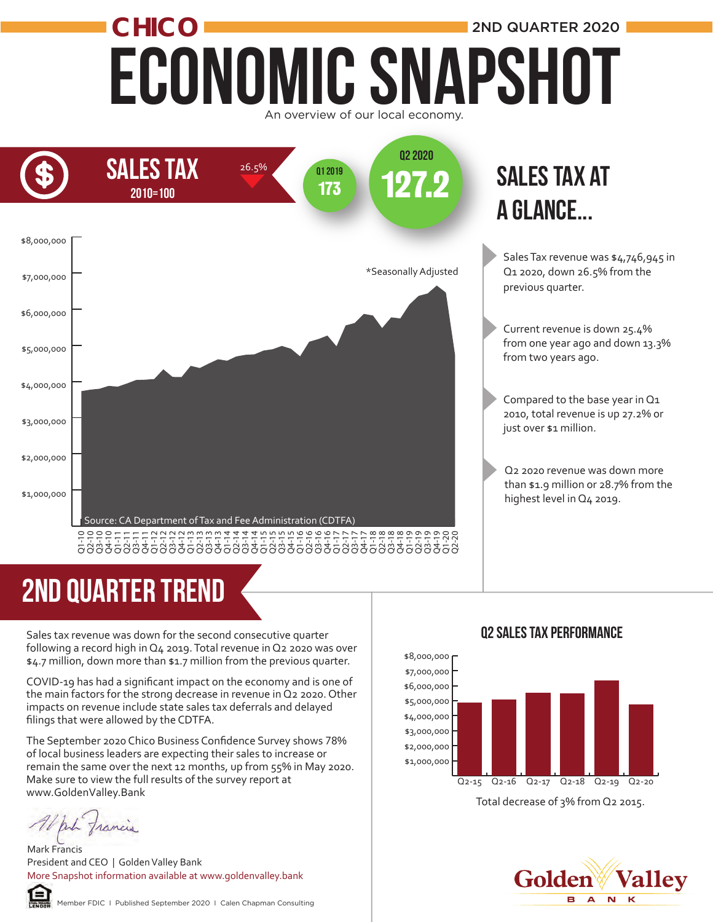### Economic Snapshot **CHICO** An overview of our local economy. 2ND QUARTER 2020



## 2ND quarter trend

Sales tax revenue was down for the second consecutive quarter following a record high in Q4 2019. Total revenue in Q2 2020 was over \$4.7 million, down more than \$1.7 million from the previous quarter.

COVID-19 has had a significant impact on the economy and is one of the main factors for the strong decrease in revenue in Q2 2020. Other impacts on revenue include state sales tax deferrals and delayed filings that were allowed by the CDTFA.

The September 2020 Chico Business Confidence Survey shows 78% of local business leaders are expecting their sales to increase or remain the same over the next 12 months, up from 55% in May 2020. Make sure to view the full results of the survey report at www.GoldenValley.Bank

put francis

Mark Francis President and CEO | Golden Valley Bank More Snapshot information available at www.goldenvalley.bank



Member FDIC I Published September 2020 I Calen Chapman Consulting

#### Q2 Sales Tax Performance



Total decrease of 3% from Q2 2015.

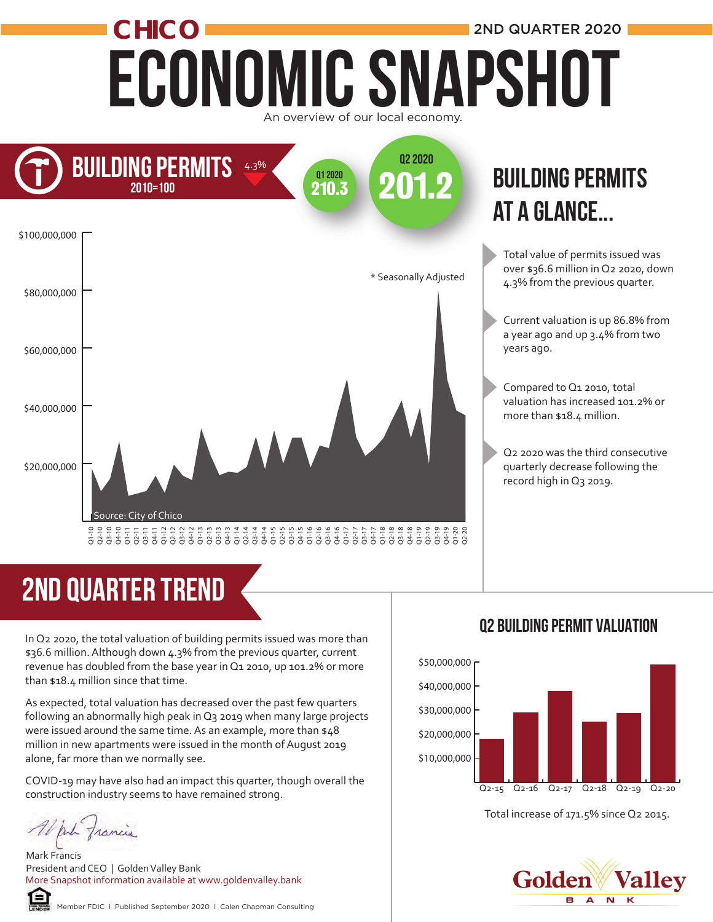### Economic Snapshot **CHICO** 2ND QUARTER 2020 An overview of our local economy.



### **BUILDING PERMITS** at a glance...

Total value of permits issued was over \$36.6 million in Q2 2020, down 4.3% from the previous quarter.

Current valuation is up 86.8% from a year ago and up 3.4% from two years ago.

Compared to Q1 2010, total valuation has increased 101.2% or more than \$18.4 million.

Q2 2020 was the third consecutive quarterly decrease following the record high in Q3 2019.

## 2ND quarter trend

In Q2 2020, the total valuation of building permits issued was more than \$36.6 million. Although down 4.3% from the previous quarter, current revenue has doubled from the base year in Q1 2010, up 101.2% or more than \$18.4 million since that time.

As expected, total valuation has decreased over the past few quarters following an abnormally high peak in Q3 2019 when many large projects were issued around the same time. As an example, more than \$48 million in new apartments were issued in the month of August 2019 alone, far more than we normally see.

COVID-19 may have also had an impact this quarter, though overall the construction industry seems to have remained strong.

Alph francis

Mark Francis President and CEO | Golden Valley Bank More Snapshot information available at www.goldenvalley.bank



Member FDIC I Published September 2020 I Calen Chapman Consulting

#### Q2 Building permit Valuation



Total increase of 171.5% since Q2 2015.

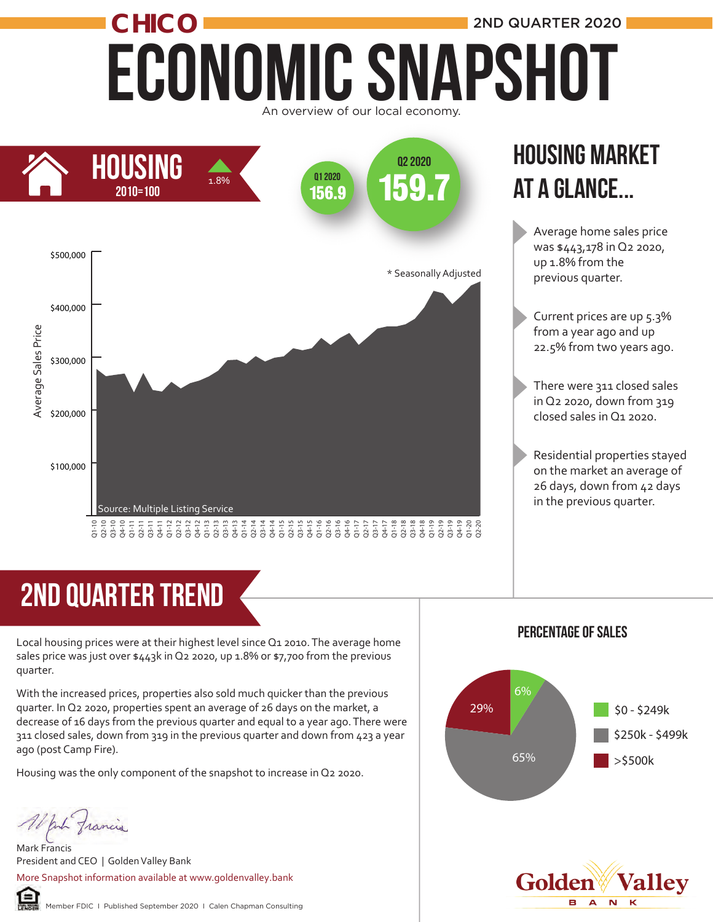### ECONOMIC SNAPSHOT CHICO **2ND QUARTER 2020** An overview of our local economy.



### Housing market at a glance...

Average home sales price was \$443,178 in Q2 2020, up 1.8% from the previous quarter.

- Current prices are up 5.3% from a year ago and up 22.5% from two years ago.
- There were 311 closed sales in Q2 2020, down from 319 closed sales in Q1 2020.
- Residential properties stayed on the market an average of 26 days, down from 42 days in the previous quarter.

## 2ND quarter trend

Local housing prices were at their highest level since Q1 2010. The average home sales price was just over \$443k in Q2 2020, up 1.8% or \$7,700 from the previous quarter.

With the increased prices, properties also sold much quicker than the previous quarter. In Q2 2020, properties spent an average of 26 days on the market, a decrease of 16 days from the previous quarter and equal to a year ago. There were 311 closed sales, down from 319 in the previous quarter and down from 423 a year ago (post Camp Fire).

Housing was the only component of the snapshot to increase in Q2 2020.

put francis

Mark Francis President and CEO | Golden Valley Bank More Snapshot information available at www.goldenvalley.bank



#### Percentage of sales



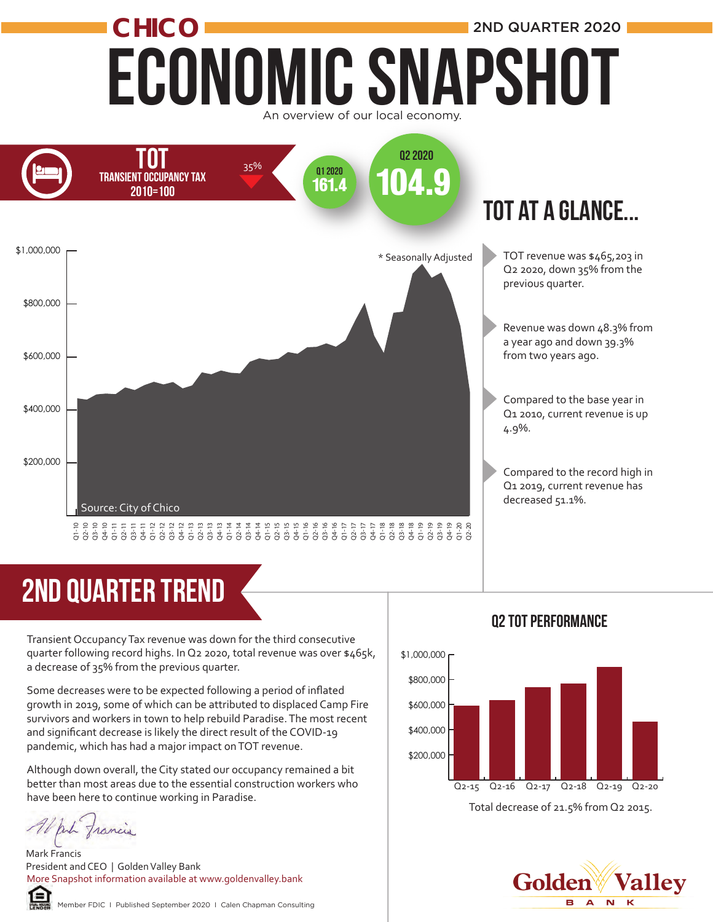### Economic Snapshot **CHICO** 2ND QUARTER 2020 An overview of our local economy.



## 2ND quarter trend

Transient Occupancy Tax revenue was down for the third consecutive quarter following record highs. In Q2 2020, total revenue was over \$465k, a decrease of 35% from the previous quarter.

Some decreases were to be expected following a period of inflated growth in 2019, some of which can be attributed to displaced Camp Fire survivors and workers in town to help rebuild Paradise. The most recent and significant decrease is likely the direct result of the COVID-19 pandemic, which has had a major impact on TOT revenue.  $\frac{2}{3}$   $\frac{2}{3}$   $\frac{2}{3}$   $\frac{2}{3}$   $\frac{2}{3}$   $\frac{2}{3}$   $\frac{2}{3}$   $\frac{2}{3}$   $\frac{2}{3}$   $\frac{2}{3}$   $\frac{2}{3}$   $\frac{2}{3}$   $\frac{2}{3}$   $\frac{2}{3}$   $\frac{2}{3}$   $\frac{2}{3}$   $\frac{2}{3}$   $\frac{2}{3}$   $\frac{2}{3}$   $\frac{2}{3}$   $\frac{2}{3}$   $\frac{2}{3}$ 

Although down overall, the City stated our occupancy remained a bit better than most areas due to the essential construction workers who have been here to continue working in Paradise.

Mark Francis President and CEO | Golden Valley Bank More Snapshot information available at www.goldenvalley.bank



Q2 tot Performance

#### Golden Р.  $\blacktriangle$  $\overline{\mathbf{N}}$ К